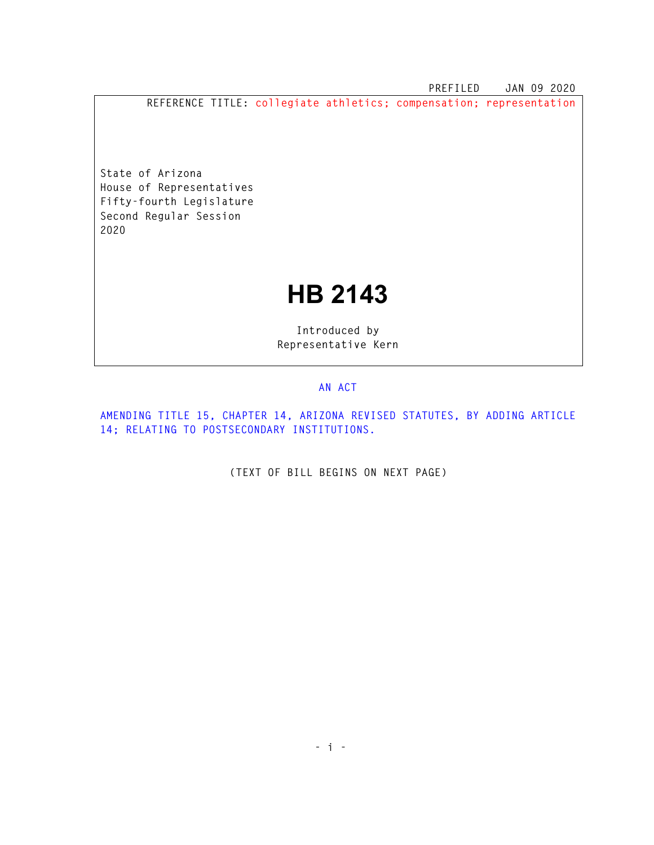**PREFILED JAN 09 2020** 

**REFERENCE TITLE: collegiate athletics; compensation; representation** 

**State of Arizona House of Representatives Fifty-fourth Legislature Second Regular Session 2020** 

## **HB 2143**

**Introduced by Representative Kern** 

## **AN ACT**

**AMENDING TITLE 15, CHAPTER 14, ARIZONA REVISED STATUTES, BY ADDING ARTICLE 14; RELATING TO POSTSECONDARY INSTITUTIONS.** 

**(TEXT OF BILL BEGINS ON NEXT PAGE)**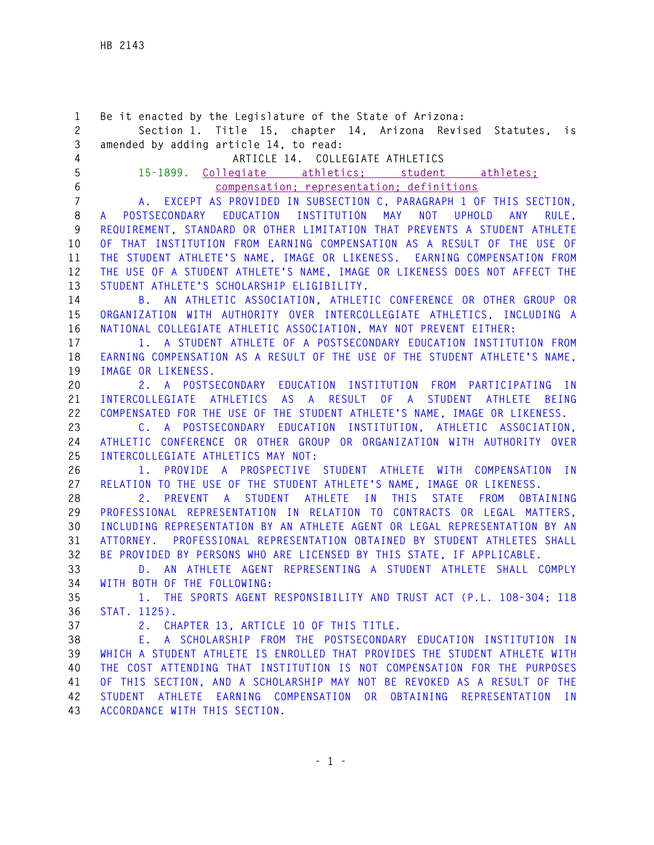**1 Be it enacted by the Legislature of the State of Arizona: 2 Section 1. Title 15, chapter 14, Arizona Revised Statutes, is 3 amended by adding article 14, to read: 4 ARTICLE 14. COLLEGIATE ATHLETICS 5 15-1899. Collegiate athletics; student athletes; 6 compensation; representation; definitions 7 A. EXCEPT AS PROVIDED IN SUBSECTION C, PARAGRAPH 1 OF THIS SECTION, 8 A POSTSECONDARY EDUCATION INSTITUTION MAY NOT UPHOLD ANY RULE, 9 REQUIREMENT, STANDARD OR OTHER LIMITATION THAT PREVENTS A STUDENT ATHLETE 10 OF THAT INSTITUTION FROM EARNING COMPENSATION AS A RESULT OF THE USE OF 11 THE STUDENT ATHLETE'S NAME, IMAGE OR LIKENESS. EARNING COMPENSATION FROM 12 THE USE OF A STUDENT ATHLETE'S NAME, IMAGE OR LIKENESS DOES NOT AFFECT THE 13 STUDENT ATHLETE'S SCHOLARSHIP ELIGIBILITY. 14 B. AN ATHLETIC ASSOCIATION, ATHLETIC CONFERENCE OR OTHER GROUP OR 15 ORGANIZATION WITH AUTHORITY OVER INTERCOLLEGIATE ATHLETICS, INCLUDING A 16 NATIONAL COLLEGIATE ATHLETIC ASSOCIATION, MAY NOT PREVENT EITHER: 17 1. A STUDENT ATHLETE OF A POSTSECONDARY EDUCATION INSTITUTION FROM 18 EARNING COMPENSATION AS A RESULT OF THE USE OF THE STUDENT ATHLETE'S NAME, 19 IMAGE OR LIKENESS. 20 2. A POSTSECONDARY EDUCATION INSTITUTION FROM PARTICIPATING IN 21 INTERCOLLEGIATE ATHLETICS AS A RESULT OF A STUDENT ATHLETE BEING 22 COMPENSATED FOR THE USE OF THE STUDENT ATHLETE'S NAME, IMAGE OR LIKENESS. 23 C. A POSTSECONDARY EDUCATION INSTITUTION, ATHLETIC ASSOCIATION, 24 ATHLETIC CONFERENCE OR OTHER GROUP OR ORGANIZATION WITH AUTHORITY OVER 25 INTERCOLLEGIATE ATHLETICS MAY NOT: 26 1. PROVIDE A PROSPECTIVE STUDENT ATHLETE WITH COMPENSATION IN 27 RELATION TO THE USE OF THE STUDENT ATHLETE'S NAME, IMAGE OR LIKENESS. 28 2. PREVENT A STUDENT ATHLETE IN THIS STATE FROM OBTAINING 29 PROFESSIONAL REPRESENTATION IN RELATION TO CONTRACTS OR LEGAL MATTERS, 30 INCLUDING REPRESENTATION BY AN ATHLETE AGENT OR LEGAL REPRESENTATION BY AN 31 ATTORNEY. PROFESSIONAL REPRESENTATION OBTAINED BY STUDENT ATHLETES SHALL 32 BE PROVIDED BY PERSONS WHO ARE LICENSED BY THIS STATE, IF APPLICABLE. 33 D. AN ATHLETE AGENT REPRESENTING A STUDENT ATHLETE SHALL COMPLY 34 WITH BOTH OF THE FOLLOWING: 35 1. THE SPORTS AGENT RESPONSIBILITY AND TRUST ACT (P.L. 108–304; 118 36 STAT. 1125). 37 2. CHAPTER 13, ARTICLE 10 OF THIS TITLE. 38 E. A SCHOLARSHIP FROM THE POSTSECONDARY EDUCATION INSTITUTION IN 39 WHICH A STUDENT ATHLETE IS ENROLLED THAT PROVIDES THE STUDENT ATHLETE WITH 40 THE COST ATTENDING THAT INSTITUTION IS NOT COMPENSATION FOR THE PURPOSES 41 OF THIS SECTION, AND A SCHOLARSHIP MAY NOT BE REVOKED AS A RESULT OF THE 42 STUDENT ATHLETE EARNING COMPENSATION OR OBTAINING REPRESENTATION IN** 

**43 ACCORDANCE WITH THIS SECTION.**